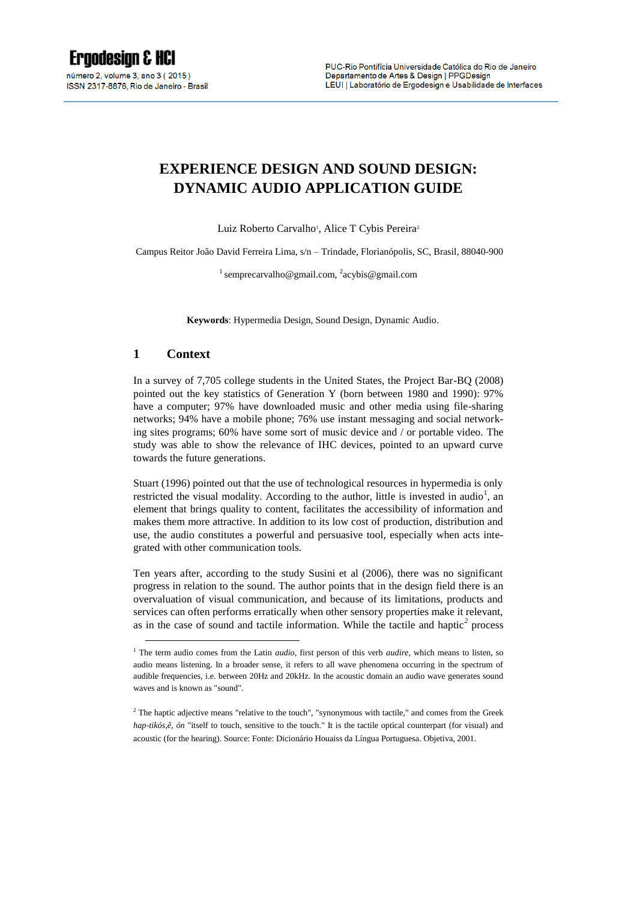# **EXPERIENCE DESIGN AND SOUND DESIGN: DYNAMIC AUDIO APPLICATION GUIDE**

Luiz Roberto Carvalho<sup>1</sup>, Alice T Cybis Pereira<sup>2</sup>

Campus Reitor João David Ferreira Lima, s/n – Trindade, Florianópolis, SC, Brasil, 88040-900

<sup>1</sup> semprecarvalho@gmail.com, <sup>2</sup>[acybis@gmail.com](mailto:2acybis@gmail.com)

**Keywords**: Hypermedia Design, Sound Design, Dynamic Audio.

#### **1 Context**

1

In a survey of 7,705 college students in the United States, the Project Bar-BQ (2008) pointed out the key statistics of Generation Y (born between 1980 and 1990): 97% have a computer; 97% have downloaded music and other media using file-sharing networks; 94% have a mobile phone; 76% use instant messaging and social networking sites programs; 60% have some sort of music device and / or portable video. The study was able to show the relevance of IHC devices, pointed to an upward curve towards the future generations.

Stuart (1996) pointed out that the use of technological resources in hypermedia is only restricted the visual modality. According to the author, little is invested in audio<sup>1</sup>, an element that brings quality to content, facilitates the accessibility of information and makes them more attractive. In addition to its low cost of production, distribution and use, the audio constitutes a powerful and persuasive tool, especially when acts integrated with other communication tools.

Ten years after, according to the study Susini et al (2006), there was no significant progress in relation to the sound. The author points that in the design field there is an overvaluation of visual communication, and because of its limitations, products and services can often performs erratically when other sensory properties make it relevant, as in the case of sound and tactile information. While the tactile and haptic*<sup>2</sup>* process

<sup>&</sup>lt;sup>1</sup> The term audio comes from the Latin *audio*, first person of this verb *audire*, which means to listen, so audio means listening. In a broader sense, it refers to all wave phenomena occurring in the spectrum of audible frequencies, i.e. between 20Hz and 20kHz. In the acoustic domain an audio wave generates sound waves and is known as "sound".

<sup>&</sup>lt;sup>2</sup> The haptic adjective means "relative to the touch", "synonymous with tactile," and comes from the Greek *hap-tikós,ê, ón* "itself to touch, sensitive to the touch." It is the tactile optical counterpart (for visual) and acoustic (for the hearing). Source: Fonte: Dicionário Houaiss da Língua Portuguesa. Objetiva, 2001.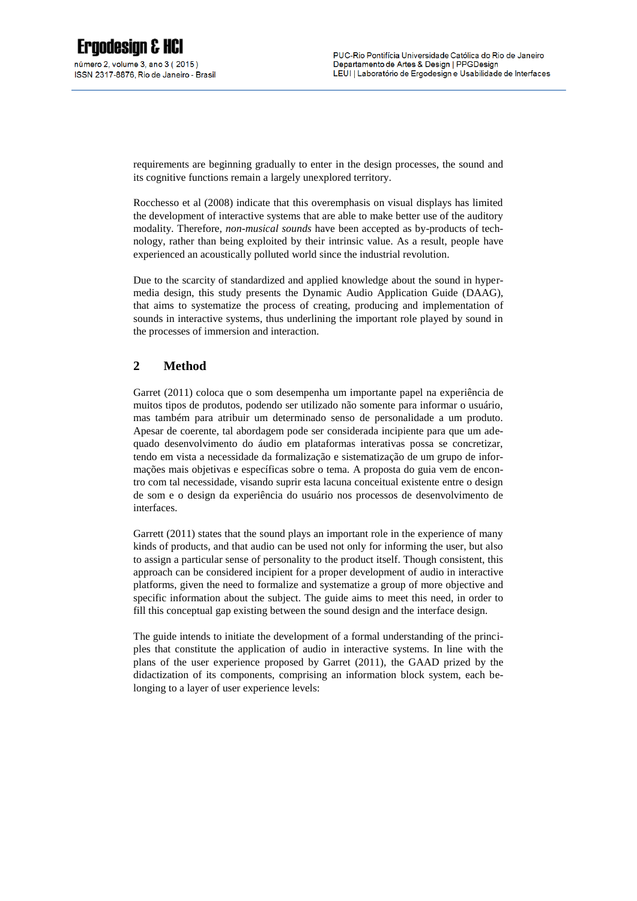requirements are beginning gradually to enter in the design processes, the sound and its cognitive functions remain a largely unexplored territory.

Rocchesso et al (2008) indicate that this overemphasis on visual displays has limited the development of interactive systems that are able to make better use of the auditory modality. Therefore, *non-musical sounds* have been accepted as by-products of technology, rather than being exploited by their intrinsic value. As a result, people have experienced an acoustically polluted world since the industrial revolution.

Due to the scarcity of standardized and applied knowledge about the sound in hypermedia design, this study presents the Dynamic Audio Application Guide (DAAG), that aims to systematize the process of creating, producing and implementation of sounds in interactive systems, thus underlining the important role played by sound in the processes of immersion and interaction.

# **2 Method**

Garret (2011) coloca que o som desempenha um importante papel na experiência de muitos tipos de produtos, podendo ser utilizado não somente para informar o usuário, mas também para atribuir um determinado senso de personalidade a um produto. Apesar de coerente, tal abordagem pode ser considerada incipiente para que um adequado desenvolvimento do áudio em plataformas interativas possa se concretizar, tendo em vista a necessidade da formalização e sistematização de um grupo de informações mais objetivas e específicas sobre o tema. A proposta do guia vem de encontro com tal necessidade, visando suprir esta lacuna conceitual existente entre o design de som e o design da experiência do usuário nos processos de desenvolvimento de interfaces.

Garrett (2011) states that the sound plays an important role in the experience of many kinds of products, and that audio can be used not only for informing the user, but also to assign a particular sense of personality to the product itself. Though consistent, this approach can be considered incipient for a proper development of audio in interactive platforms, given the need to formalize and systematize a group of more objective and specific information about the subject. The guide aims to meet this need, in order to fill this conceptual gap existing between the sound design and the interface design.

The guide intends to initiate the development of a formal understanding of the principles that constitute the application of audio in interactive systems. In line with the plans of the user experience proposed by Garret (2011), the GAAD prized by the didactization of its components, comprising an information block system, each belonging to a layer of user experience levels: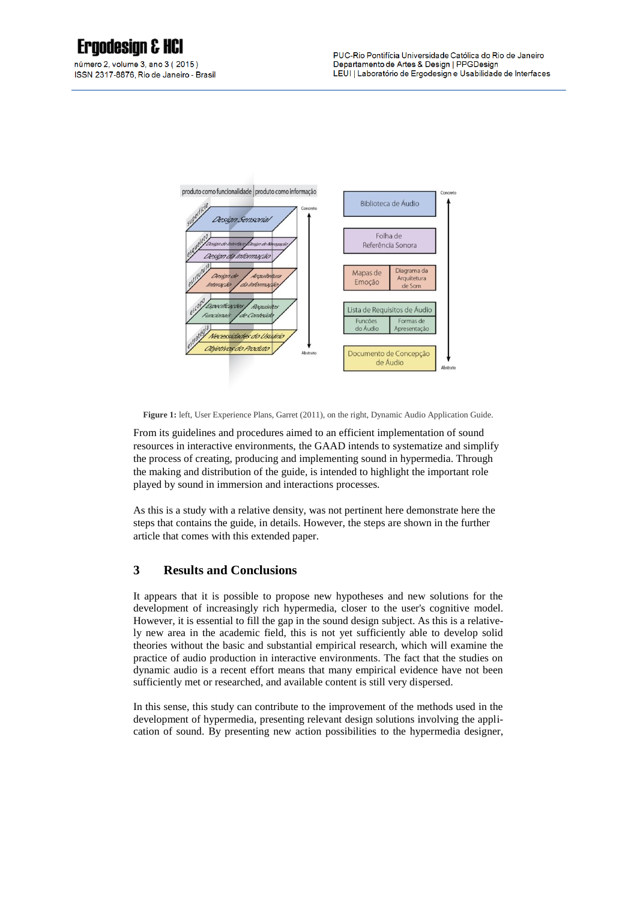# **Ergodesian & HCI**

número 2. volume 3. ano 3 (2015) ISSN 2317-8876, Rio de Janeiro - Brasil



**Figure 1:** left, User Experience Plans, Garret (2011), on the right, Dynamic Audio Application Guide.

From its guidelines and procedures aimed to an efficient implementation of sound resources in interactive environments, the GAAD intends to systematize and simplify the process of creating, producing and implementing sound in hypermedia. Through the making and distribution of the guide, is intended to highlight the important role played by sound in immersion and interactions processes.

As this is a study with a relative density, was not pertinent here demonstrate here the steps that contains the guide, in details. However, the steps are shown in the further article that comes with this extended paper.

# **3 Results and Conclusions**

It appears that it is possible to propose new hypotheses and new solutions for the development of increasingly rich hypermedia, closer to the user's cognitive model. However, it is essential to fill the gap in the sound design subject. As this is a relatively new area in the academic field, this is not yet sufficiently able to develop solid theories without the basic and substantial empirical research, which will examine the practice of audio production in interactive environments. The fact that the studies on dynamic audio is a recent effort means that many empirical evidence have not been sufficiently met or researched, and available content is still very dispersed.

In this sense, this study can contribute to the improvement of the methods used in the development of hypermedia, presenting relevant design solutions involving the application of sound. By presenting new action possibilities to the hypermedia designer,